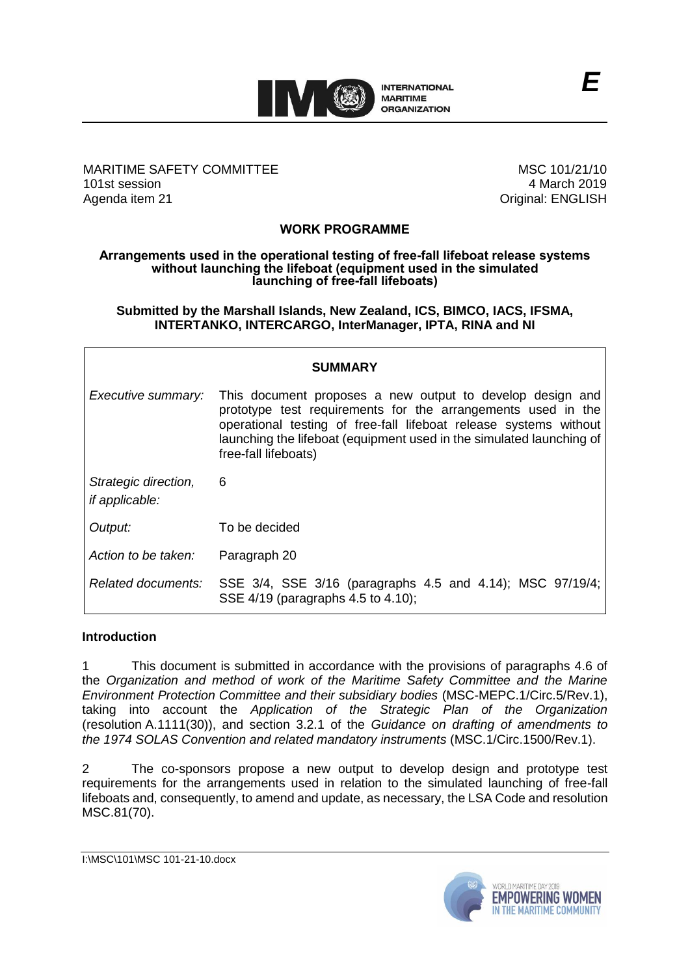

# MARITIME SAFETY COMMITTEE 101st session Agenda item 21

MSC 101/21/10 4 March 2019 Original: ENGLISH

# **WORK PROGRAMME**

#### **Arrangements used in the operational testing of free-fall lifeboat release systems without launching the lifeboat (equipment used in the simulated launching of free-fall lifeboats)**

**Submitted by the Marshall Islands, New Zealand, ICS, BIMCO, IACS, IFSMA, INTERTANKO, INTERCARGO, InterManager, IPTA, RINA and NI**

| <b>SUMMARY</b>                                |                                                                                                                                                                                                                                                                                                |  |  |  |
|-----------------------------------------------|------------------------------------------------------------------------------------------------------------------------------------------------------------------------------------------------------------------------------------------------------------------------------------------------|--|--|--|
| Executive summary:                            | This document proposes a new output to develop design and<br>prototype test requirements for the arrangements used in the<br>operational testing of free-fall lifeboat release systems without<br>launching the lifeboat (equipment used in the simulated launching of<br>free-fall lifeboats) |  |  |  |
| Strategic direction,<br><i>if applicable:</i> | 6                                                                                                                                                                                                                                                                                              |  |  |  |
| Output:                                       | To be decided                                                                                                                                                                                                                                                                                  |  |  |  |
| Action to be taken:                           | Paragraph 20                                                                                                                                                                                                                                                                                   |  |  |  |
| Related documents:                            | SSE 3/4, SSE 3/16 (paragraphs 4.5 and 4.14); MSC 97/19/4;<br>SSE 4/19 (paragraphs 4.5 to 4.10);                                                                                                                                                                                                |  |  |  |

#### **Introduction**

1 This document is submitted in accordance with the provisions of paragraphs 4.6 of the *Organization and method of work of the Maritime Safety Committee and the Marine Environment Protection Committee and their subsidiary bodies* (MSC-MEPC.1/Circ.5/Rev.1), taking into account the *Application of the Strategic Plan of the Organization*  (resolution A.1111(30)), and section 3.2.1 of the *Guidance on drafting of amendments to the 1974 SOLAS Convention and related mandatory instruments* (MSC.1/Circ.1500/Rev.1).

2 The co-sponsors propose a new output to develop design and prototype test requirements for the arrangements used in relation to the simulated launching of free-fall lifeboats and, consequently, to amend and update, as necessary, the LSA Code and resolution MSC.81(70).

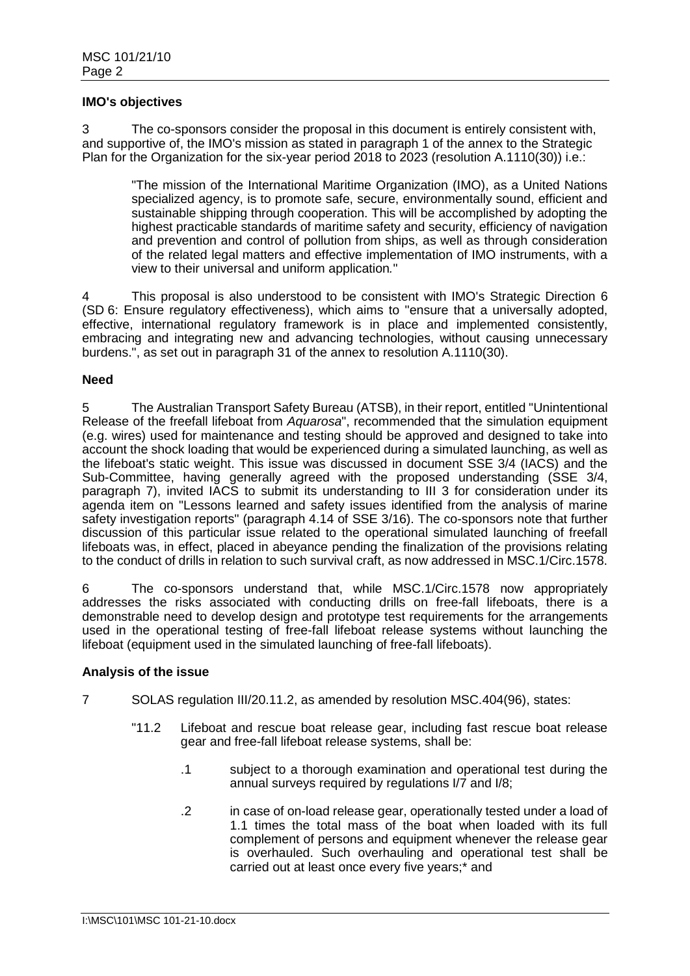### **IMO's objectives**

3 The co-sponsors consider the proposal in this document is entirely consistent with, and supportive of, the IMO's mission as stated in paragraph 1 of the annex to the Strategic Plan for the Organization for the six-year period 2018 to 2023 (resolution A.1110(30)) i.e.:

"The mission of the International Maritime Organization (IMO), as a United Nations specialized agency, is to promote safe, secure, environmentally sound, efficient and sustainable shipping through cooperation. This will be accomplished by adopting the highest practicable standards of maritime safety and security, efficiency of navigation and prevention and control of pollution from ships, as well as through consideration of the related legal matters and effective implementation of IMO instruments, with a view to their universal and uniform application*.*"

4 This proposal is also understood to be consistent with IMO's Strategic Direction 6 (SD 6: Ensure regulatory effectiveness), which aims to "ensure that a universally adopted, effective, international regulatory framework is in place and implemented consistently, embracing and integrating new and advancing technologies, without causing unnecessary burdens.", as set out in paragraph 31 of the annex to resolution A.1110(30).

## **Need**

5 The Australian Transport Safety Bureau (ATSB), in their report, entitled "Unintentional Release of the freefall lifeboat from *Aquarosa*", recommended that the simulation equipment (e.g. wires) used for maintenance and testing should be approved and designed to take into account the shock loading that would be experienced during a simulated launching, as well as the lifeboat's static weight. This issue was discussed in document SSE 3/4 (IACS) and the Sub-Committee, having generally agreed with the proposed understanding (SSE 3/4, paragraph 7), invited IACS to submit its understanding to III 3 for consideration under its agenda item on "Lessons learned and safety issues identified from the analysis of marine safety investigation reports" (paragraph 4.14 of SSE 3/16). The co-sponsors note that further discussion of this particular issue related to the operational simulated launching of freefall lifeboats was, in effect, placed in abeyance pending the finalization of the provisions relating to the conduct of drills in relation to such survival craft, as now addressed in MSC.1/Circ.1578.

6 The co-sponsors understand that, while MSC.1/Circ.1578 now appropriately addresses the risks associated with conducting drills on free-fall lifeboats, there is a demonstrable need to develop design and prototype test requirements for the arrangements used in the operational testing of free-fall lifeboat release systems without launching the lifeboat (equipment used in the simulated launching of free-fall lifeboats).

#### **Analysis of the issue**

- 7 SOLAS regulation III/20.11.2, as amended by resolution MSC.404(96), states:
	- "11.2 Lifeboat and rescue boat release gear, including fast rescue boat release gear and free-fall lifeboat release systems, shall be:
		- .1 subject to a thorough examination and operational test during the annual surveys required by regulations I/7 and I/8;
		- .2 in case of on-load release gear, operationally tested under a load of 1.1 times the total mass of the boat when loaded with its full complement of persons and equipment whenever the release gear is overhauled. Such overhauling and operational test shall be carried out at least once every five years;\* and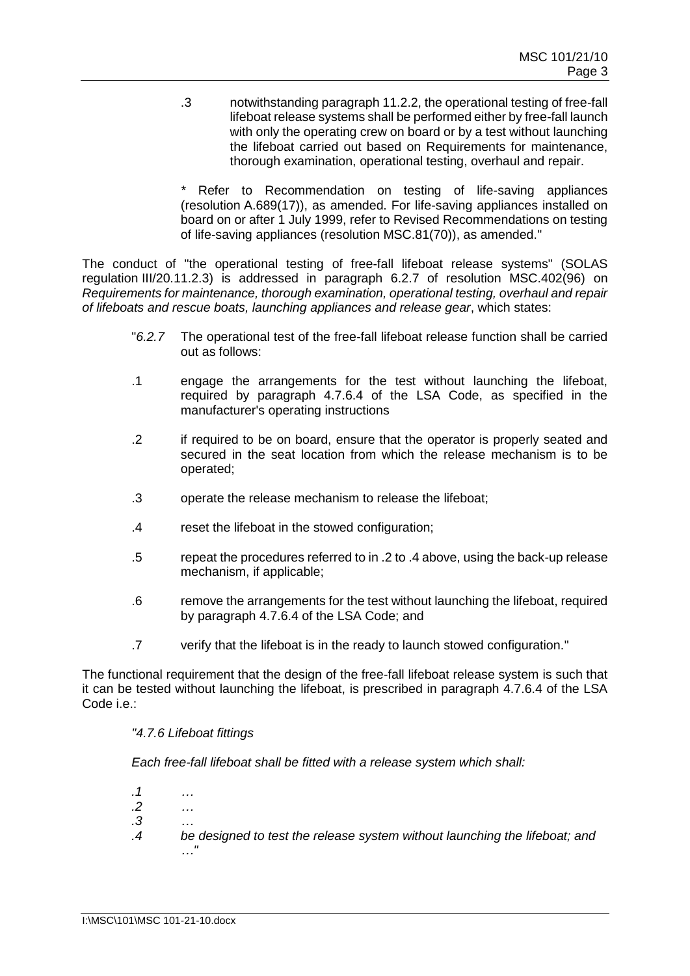.3 notwithstanding paragraph 11.2.2, the operational testing of free-fall lifeboat release systems shall be performed either by free-fall launch with only the operating crew on board or by a test without launching the lifeboat carried out based on Requirements for maintenance, thorough examination, operational testing, overhaul and repair.

Refer to Recommendation on testing of life-saving appliances (resolution A.689(17)), as amended. For life-saving appliances installed on board on or after 1 July 1999, refer to Revised Recommendations on testing of life-saving appliances (resolution MSC.81(70)), as amended."

The conduct of "the operational testing of free-fall lifeboat release systems" (SOLAS regulation III/20.11.2.3) is addressed in paragraph 6.2.7 of resolution MSC.402(96) on *Requirements for maintenance, thorough examination, operational testing, overhaul and repair of lifeboats and rescue boats, launching appliances and release gear*, which states:

- "*6.2.7* The operational test of the free-fall lifeboat release function shall be carried out as follows:
- .1 engage the arrangements for the test without launching the lifeboat, required by paragraph 4.7.6.4 of the LSA Code, as specified in the manufacturer's operating instructions
- .2 if required to be on board, ensure that the operator is properly seated and secured in the seat location from which the release mechanism is to be operated;
- .3 operate the release mechanism to release the lifeboat;
- .4 reset the lifeboat in the stowed configuration;
- .5 repeat the procedures referred to in .2 to .4 above, using the back-up release mechanism, if applicable;
- .6 remove the arrangements for the test without launching the lifeboat, required by paragraph 4.7.6.4 of the LSA Code; and
- .7 verify that the lifeboat is in the ready to launch stowed configuration."

The functional requirement that the design of the free-fall lifeboat release system is such that it can be tested without launching the lifeboat, is prescribed in paragraph 4.7.6.4 of the LSA Code i.e.:

# *"4.7.6 Lifeboat fittings*

*Each free-fall lifeboat shall be fitted with a release system which shall:*

- *.1 … .2 … .3 …*
- *.4 be designed to test the release system without launching the lifeboat; and …"*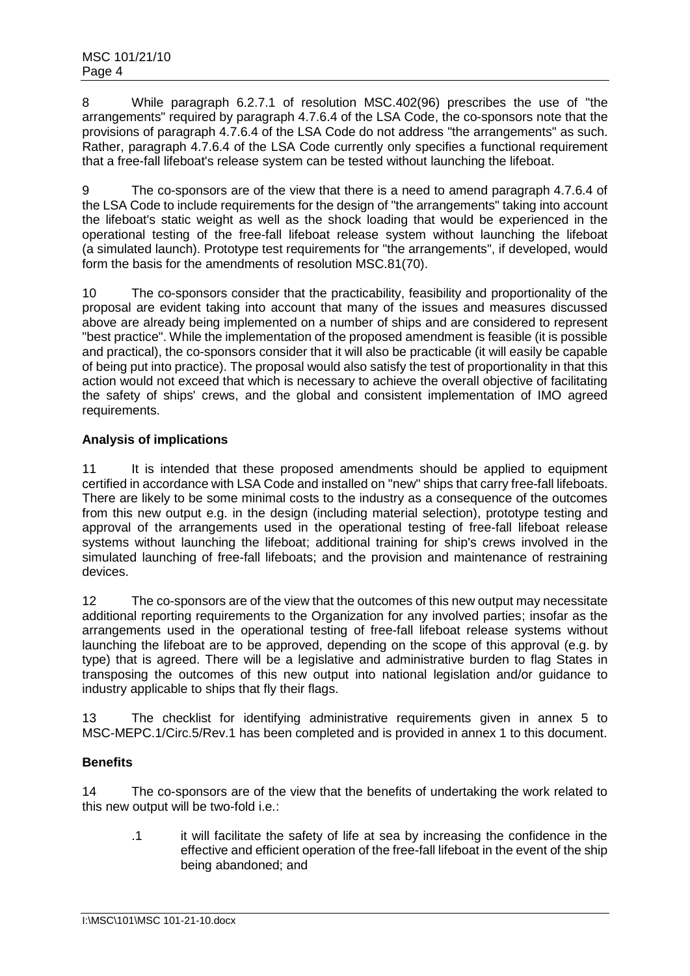8 While paragraph 6.2.7.1 of resolution MSC.402(96) prescribes the use of "the arrangements" required by paragraph 4.7.6.4 of the LSA Code, the co-sponsors note that the provisions of paragraph 4.7.6.4 of the LSA Code do not address "the arrangements" as such. Rather, paragraph 4.7.6.4 of the LSA Code currently only specifies a functional requirement that a free-fall lifeboat's release system can be tested without launching the lifeboat.

9 The co-sponsors are of the view that there is a need to amend paragraph 4.7.6.4 of the LSA Code to include requirements for the design of "the arrangements" taking into account the lifeboat's static weight as well as the shock loading that would be experienced in the operational testing of the free-fall lifeboat release system without launching the lifeboat (a simulated launch). Prototype test requirements for "the arrangements", if developed, would form the basis for the amendments of resolution MSC.81(70).

10 The co-sponsors consider that the practicability, feasibility and proportionality of the proposal are evident taking into account that many of the issues and measures discussed above are already being implemented on a number of ships and are considered to represent "best practice". While the implementation of the proposed amendment is feasible (it is possible and practical), the co-sponsors consider that it will also be practicable (it will easily be capable of being put into practice). The proposal would also satisfy the test of proportionality in that this action would not exceed that which is necessary to achieve the overall objective of facilitating the safety of ships' crews, and the global and consistent implementation of IMO agreed requirements.

# **Analysis of implications**

11 It is intended that these proposed amendments should be applied to equipment certified in accordance with LSA Code and installed on "new" ships that carry free-fall lifeboats. There are likely to be some minimal costs to the industry as a consequence of the outcomes from this new output e.g. in the design (including material selection), prototype testing and approval of the arrangements used in the operational testing of free-fall lifeboat release systems without launching the lifeboat; additional training for ship's crews involved in the simulated launching of free-fall lifeboats; and the provision and maintenance of restraining devices.

12 The co-sponsors are of the view that the outcomes of this new output may necessitate additional reporting requirements to the Organization for any involved parties; insofar as the arrangements used in the operational testing of free-fall lifeboat release systems without launching the lifeboat are to be approved, depending on the scope of this approval (e.g. by type) that is agreed. There will be a legislative and administrative burden to flag States in transposing the outcomes of this new output into national legislation and/or guidance to industry applicable to ships that fly their flags.

13 The checklist for identifying administrative requirements given in annex 5 to MSC-MEPC.1/Circ.5/Rev.1 has been completed and is provided in annex 1 to this document.

# **Benefits**

14 The co-sponsors are of the view that the benefits of undertaking the work related to this new output will be two-fold i.e.:

.1 it will facilitate the safety of life at sea by increasing the confidence in the effective and efficient operation of the free-fall lifeboat in the event of the ship being abandoned; and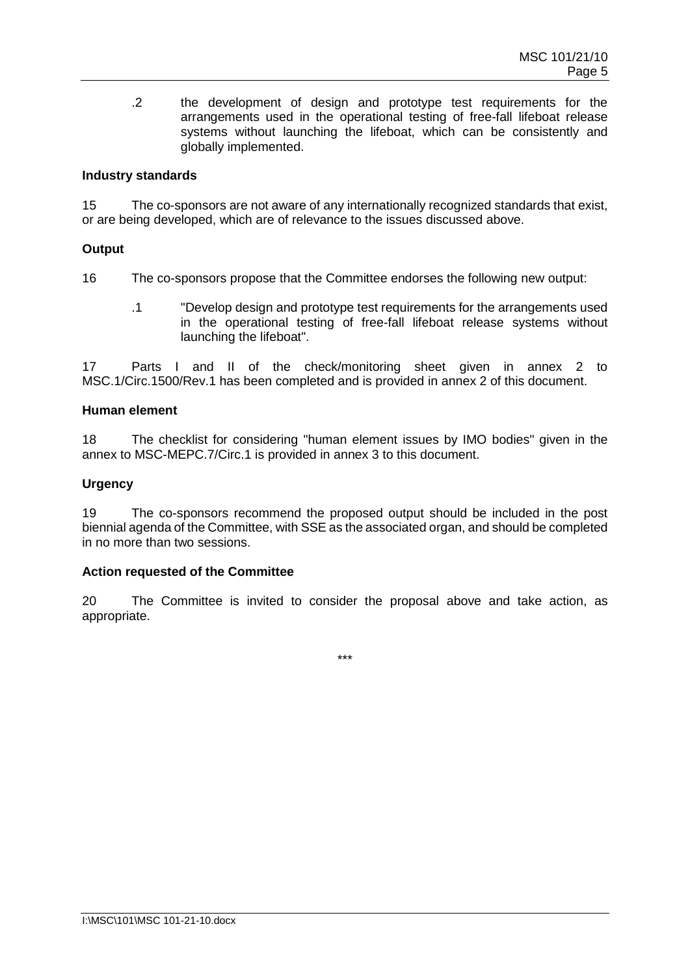.2 the development of design and prototype test requirements for the arrangements used in the operational testing of free-fall lifeboat release systems without launching the lifeboat, which can be consistently and globally implemented.

# **Industry standards**

15 The co-sponsors are not aware of any internationally recognized standards that exist, or are being developed, which are of relevance to the issues discussed above.

# **Output**

16 The co-sponsors propose that the Committee endorses the following new output:

.1 "Develop design and prototype test requirements for the arrangements used in the operational testing of free-fall lifeboat release systems without launching the lifeboat".

17 Parts I and II of the check/monitoring sheet given in annex 2 to MSC.1/Circ.1500/Rev.1 has been completed and is provided in annex 2 of this document.

#### **Human element**

18 The checklist for considering "human element issues by IMO bodies" given in the annex to MSC-MEPC.7/Circ.1 is provided in annex 3 to this document.

## **Urgency**

19 The co-sponsors recommend the proposed output should be included in the post biennial agenda of the Committee, with SSE as the associated organ, and should be completed in no more than two sessions.

#### **Action requested of the Committee**

20 The Committee is invited to consider the proposal above and take action, as appropriate.

\*\*\*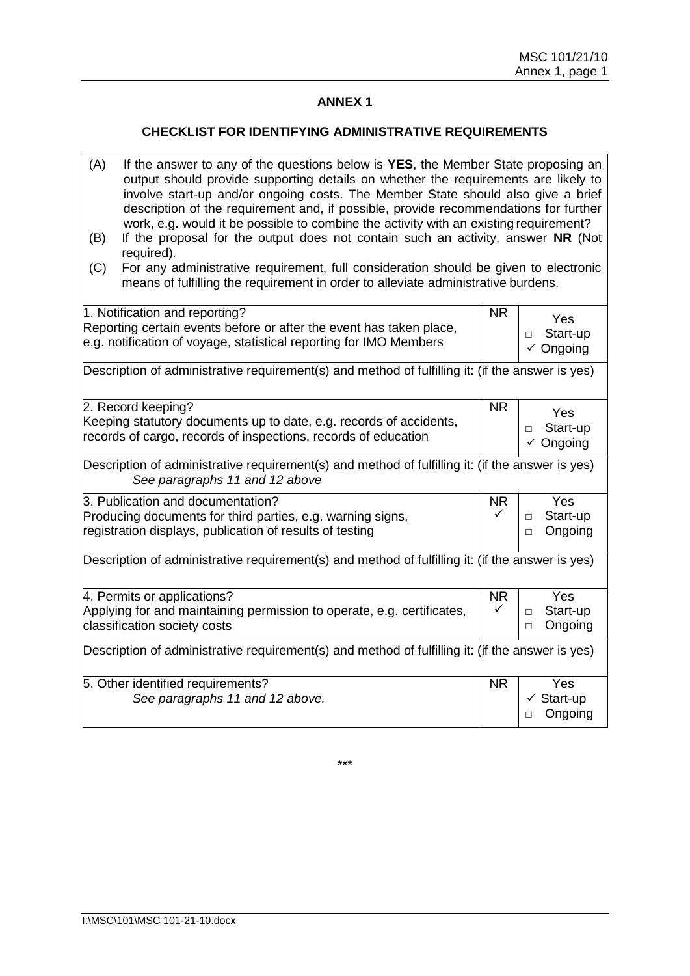# **ANNEX 1**

## **CHECKLIST FOR IDENTIFYING ADMINISTRATIVE REQUIREMENTS**

| (A)<br>If the answer to any of the questions below is YES, the Member State proposing an<br>output should provide supporting details on whether the requirements are likely to<br>involve start-up and/or ongoing costs. The Member State should also give a brief<br>description of the requirement and, if possible, provide recommendations for further<br>work, e.g. would it be possible to combine the activity with an existing requirement?<br>If the proposal for the output does not contain such an activity, answer NR (Not<br>(B)<br>required).<br>For any administrative requirement, full consideration should be given to electronic<br>(C)<br>means of fulfilling the requirement in order to alleviate administrative burdens. |                                                                                                                                                                             |                |                                                       |  |  |
|--------------------------------------------------------------------------------------------------------------------------------------------------------------------------------------------------------------------------------------------------------------------------------------------------------------------------------------------------------------------------------------------------------------------------------------------------------------------------------------------------------------------------------------------------------------------------------------------------------------------------------------------------------------------------------------------------------------------------------------------------|-----------------------------------------------------------------------------------------------------------------------------------------------------------------------------|----------------|-------------------------------------------------------|--|--|
|                                                                                                                                                                                                                                                                                                                                                                                                                                                                                                                                                                                                                                                                                                                                                  | 1. Notification and reporting?<br>Reporting certain events before or after the event has taken place,<br>e.g. notification of voyage, statistical reporting for IMO Members | <b>NR</b>      | Yes<br>Start-up<br>$\Box$<br>$\checkmark$ Ongoing     |  |  |
| Description of administrative requirement(s) and method of fulfilling it: (if the answer is yes)                                                                                                                                                                                                                                                                                                                                                                                                                                                                                                                                                                                                                                                 |                                                                                                                                                                             |                |                                                       |  |  |
|                                                                                                                                                                                                                                                                                                                                                                                                                                                                                                                                                                                                                                                                                                                                                  | 2. Record keeping?<br>Keeping statutory documents up to date, e.g. records of accidents,<br>records of cargo, records of inspections, records of education                  | N <sub>R</sub> | Yes<br>Start-up<br>П<br>$\checkmark$ Ongoing          |  |  |
| Description of administrative requirement(s) and method of fulfilling it: (if the answer is yes)<br>See paragraphs 11 and 12 above                                                                                                                                                                                                                                                                                                                                                                                                                                                                                                                                                                                                               |                                                                                                                                                                             |                |                                                       |  |  |
|                                                                                                                                                                                                                                                                                                                                                                                                                                                                                                                                                                                                                                                                                                                                                  | 3. Publication and documentation?<br>Producing documents for third parties, e.g. warning signs,<br>registration displays, publication of results of testing                 | <b>NR</b><br>✓ | <b>Yes</b><br>Start-up<br>$\Box$<br>Ongoing<br>$\Box$ |  |  |
| Description of administrative requirement(s) and method of fulfilling it: (if the answer is yes)                                                                                                                                                                                                                                                                                                                                                                                                                                                                                                                                                                                                                                                 |                                                                                                                                                                             |                |                                                       |  |  |
|                                                                                                                                                                                                                                                                                                                                                                                                                                                                                                                                                                                                                                                                                                                                                  | 4. Permits or applications?<br>Applying for and maintaining permission to operate, e.g. certificates,<br>classification society costs                                       | <b>NR</b><br>✓ | Yes<br>Start-up<br>$\Box$<br>Ongoing<br>$\Box$        |  |  |
| Description of administrative requirement(s) and method of fulfilling it: (if the answer is yes)                                                                                                                                                                                                                                                                                                                                                                                                                                                                                                                                                                                                                                                 |                                                                                                                                                                             |                |                                                       |  |  |
|                                                                                                                                                                                                                                                                                                                                                                                                                                                                                                                                                                                                                                                                                                                                                  | 5. Other identified requirements?<br>See paragraphs 11 and 12 above.                                                                                                        | N <sub>R</sub> | <b>Yes</b><br>$\checkmark$ Start-up<br>Ongoing<br>□   |  |  |

\*\*\*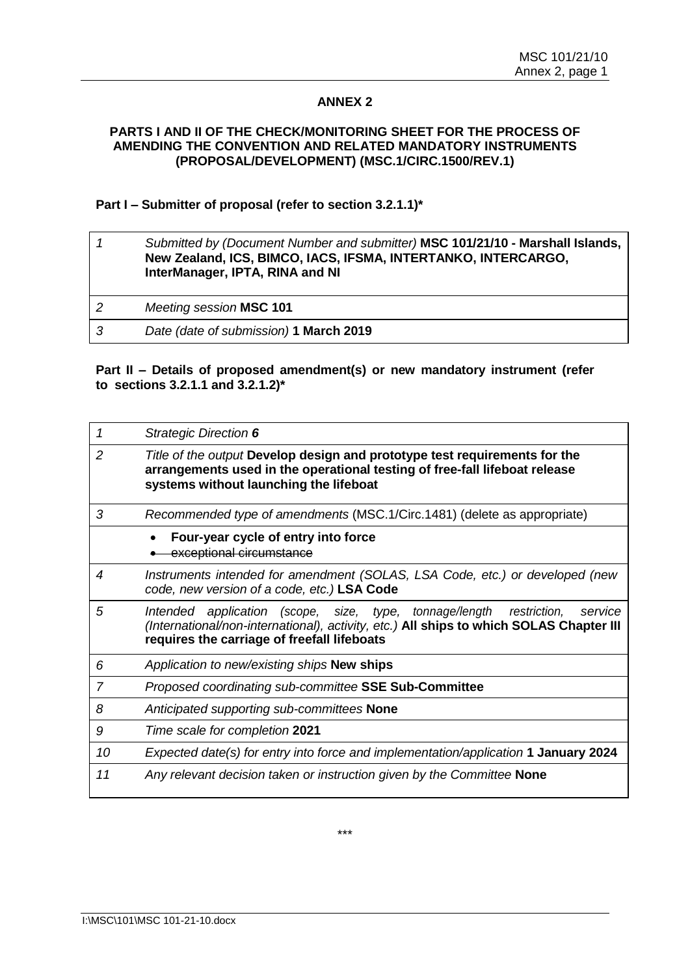# **ANNEX 2**

# **PARTS I AND II OF THE CHECK/MONITORING SHEET FOR THE PROCESS OF AMENDING THE CONVENTION AND RELATED MANDATORY INSTRUMENTS (PROPOSAL/DEVELOPMENT) (MSC.1/CIRC.1500/REV.1)**

# **Part I – Submitter of proposal (refer to section 3.2.1.1)\***

|   | Submitted by (Document Number and submitter) MSC 101/21/10 - Marshall Islands,<br>New Zealand, ICS, BIMCO, IACS, IFSMA, INTERTANKO, INTERCARGO,<br>InterManager, IPTA, RINA and NI |
|---|------------------------------------------------------------------------------------------------------------------------------------------------------------------------------------|
| 2 | Meeting session MSC 101                                                                                                                                                            |
| 3 | Date (date of submission) 1 March 2019                                                                                                                                             |

## **Part II – Details of proposed amendment(s) or new mandatory instrument (refer to sections 3.2.1.1 and 3.2.1.2)\***

| 1              | <b>Strategic Direction 6</b>                                                                                                                                                                                                           |
|----------------|----------------------------------------------------------------------------------------------------------------------------------------------------------------------------------------------------------------------------------------|
| $\overline{2}$ | Title of the output Develop design and prototype test requirements for the<br>arrangements used in the operational testing of free-fall lifeboat release<br>systems without launching the lifeboat                                     |
| 3              | Recommended type of amendments (MSC.1/Circ.1481) (delete as appropriate)                                                                                                                                                               |
|                | Four-year cycle of entry into force<br>exceptional circumstance                                                                                                                                                                        |
| 4              | Instruments intended for amendment (SOLAS, LSA Code, etc.) or developed (new<br>code, new version of a code, etc.) LSA Code                                                                                                            |
| 5              | application (scope, size, type, tonnage/length<br>restriction,<br><i>Intended</i><br>service<br>(International/non-international), activity, etc.) All ships to which SOLAS Chapter III<br>requires the carriage of freefall lifeboats |
| 6              | Application to new/existing ships New ships                                                                                                                                                                                            |
| 7              | Proposed coordinating sub-committee SSE Sub-Committee                                                                                                                                                                                  |
| 8              | Anticipated supporting sub-committees None                                                                                                                                                                                             |
| 9              | Time scale for completion 2021                                                                                                                                                                                                         |
| 10             | Expected date(s) for entry into force and implementation/application 1 January 2024                                                                                                                                                    |
| 11             | Any relevant decision taken or instruction given by the Committee None                                                                                                                                                                 |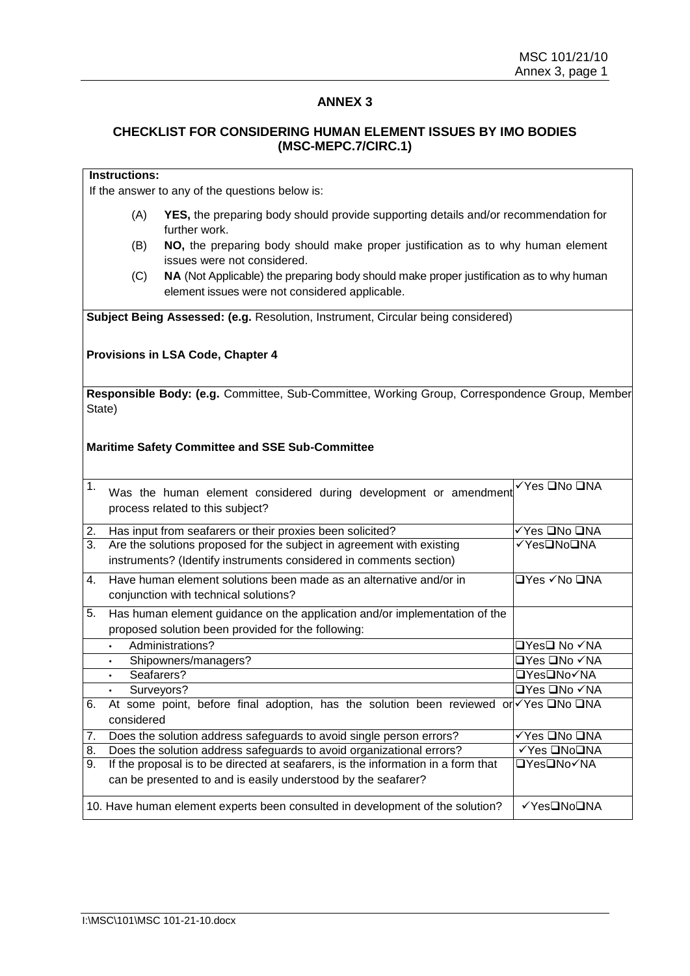# **ANNEX 3**

# **CHECKLIST FOR CONSIDERING HUMAN ELEMENT ISSUES BY IMO BODIES (MSC-MEPC.7/CIRC.1)**

# **Instructions:**

If the answer to any of the questions below is:

- (A) **YES,** the preparing body should provide supporting details and/or recommendation for further work.
- (B) **NO,** the preparing body should make proper justification as to why human element issues were not considered.
- (C) **NA** (Not Applicable) the preparing body should make proper justification as to why human element issues were not considered applicable.

**Subject Being Assessed: (e.g.** Resolution, Instrument, Circular being considered)

#### **Provisions in LSA Code, Chapter 4**

**Responsible Body: (e.g.** Committee, Sub-Committee, Working Group, Correspondence Group, Member State)

#### **Maritime Safety Committee and SSE Sub-Committee**

| 1. | Was the human element considered during development or amendment<br>process related to this subject?                                               | √Yes <b>QNo QNA</b>                  |
|----|----------------------------------------------------------------------------------------------------------------------------------------------------|--------------------------------------|
| 2. | Has input from seafarers or their proxies been solicited?                                                                                          | ✓Yes ❑No ❑NA                         |
| 3. | Are the solutions proposed for the subject in agreement with existing<br>instruments? (Identify instruments considered in comments section)        | √Yes❑No❑NA                           |
| 4. | Have human element solutions been made as an alternative and/or in<br>conjunction with technical solutions?                                        | $\Box$ Yes $\checkmark$ No $\Box$ NA |
| 5. | Has human element guidance on the application and/or implementation of the<br>proposed solution been provided for the following:                   |                                      |
|    | Administrations?<br>$\bullet$                                                                                                                      | □Yes❑ No ✓NA                         |
|    | Shipowners/managers?<br>$\bullet$                                                                                                                  | □Yes □No ✓NA                         |
|    | Seafarers?<br>$\bullet$                                                                                                                            | <b>□Yes</b> □No√NA                   |
|    | Surveyors?<br>$\bullet$                                                                                                                            | <b>□Yes □No √NA</b>                  |
| 6. | At some point, before final adoption, has the solution been reviewed or $\sqrt{Y}$ es $\Box$ No $\Box$ NA<br>considered                            |                                      |
| 7. | Does the solution address safeguards to avoid single person errors?                                                                                | √Yes ❑No ❑NA                         |
| 8. | Does the solution address safeguards to avoid organizational errors?                                                                               | √Yes <b>□NoO</b> NA                  |
| 9. | If the proposal is to be directed at seafarers, is the information in a form that<br>can be presented to and is easily understood by the seafarer? | <b>□Yes</b> □No√NA                   |
|    | 10. Have human element experts been consulted in development of the solution?                                                                      | √Yes□No□NA                           |